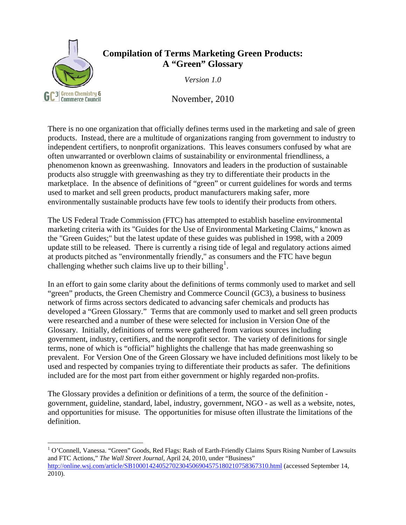

 $\overline{a}$ 

## **Compilation of Terms Marketing Green Products: A "Green" Glossary**

*Version 1.0* 

November, 2010

There is no one organization that officially defines terms used in the marketing and sale of green products. Instead, there are a multitude of organizations ranging from government to industry to independent certifiers, to nonprofit organizations. This leaves consumers confused by what are often unwarranted or overblown claims of sustainability or environmental friendliness, a phenomenon known as greenwashing. Innovators and leaders in the production of sustainable products also struggle with greenwashing as they try to differentiate their products in the marketplace. In the absence of definitions of "green" or current guidelines for words and terms used to market and sell green products, product manufacturers making safer, more environmentally sustainable products have few tools to identify their products from others.

The US Federal Trade Commission (FTC) has attempted to establish baseline environmental marketing criteria with its "Guides for the Use of Environmental Marketing Claims," known as the "Green Guides;" but the latest update of these guides was published in 1998, with a 2009 update still to be released. There is currently a rising tide of legal and regulatory actions aimed at products pitched as "environmentally friendly," as consumers and the FTC have begun challenging whether such claims live up to their billing<sup>[1](#page-0-0)</sup>.

In an effort to gain some clarity about the definitions of terms commonly used to market and sell "green" products, the Green Chemistry and Commerce Council (GC3), a business to business network of firms across sectors dedicated to advancing safer chemicals and products has developed a "Green Glossary." Terms that are commonly used to market and sell green products were researched and a number of these were selected for inclusion in Version One of the Glossary. Initially, definitions of terms were gathered from various sources including government, industry, certifiers, and the nonprofit sector. The variety of definitions for single terms, none of which is "official" highlights the challenge that has made greenwashing so prevalent. For Version One of the Green Glossary we have included definitions most likely to be used and respected by companies trying to differentiate their products as safer. The definitions included are for the most part from either government or highly regarded non-profits.

The Glossary provides a definition or definitions of a term, the source of the definition government, guideline, standard, label, industry, government, NGO - as well as a website, notes, and opportunities for misuse. The opportunities for misuse often illustrate the limitations of the definition.

<span id="page-0-0"></span><sup>&</sup>lt;sup>1</sup> O'Connell, Vanessa. "Green" Goods, Red Flags: Rash of Earth-Friendly Claims Spurs Rising Number of Lawsuits and FTC Actions," *The Wall Street Journal*, April 24, 2010, under "Business" <http://online.wsj.com/article/SB10001424052702304506904575180210758367310.html>(accessed September 14, 2010).